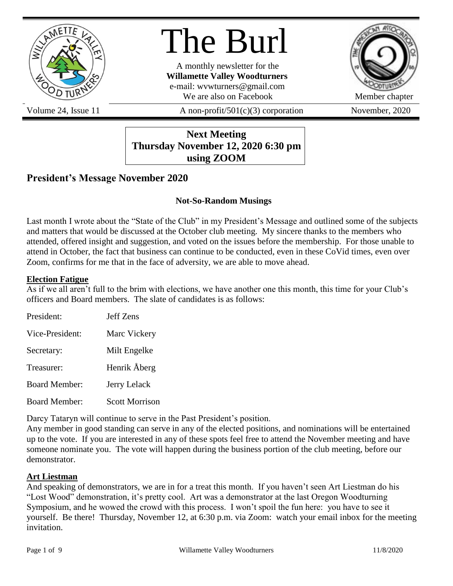

# The Burl

A monthly newsletter for the **Willamette Valley Woodturners** e-mail: wvwturners@gmail.com We are also on Facebook Member chapter



Volume 24, Issue 11  $A$  non-profit/501(c)(3) corporation November, 2020

**Next Meeting Thursday November 12, 2020 6:30 pm using ZOOM**

# **President's Message November 2020**

# **Not-So-Random Musings**

Last month I wrote about the "State of the Club" in my President's Message and outlined some of the subjects and matters that would be discussed at the October club meeting. My sincere thanks to the members who attended, offered insight and suggestion, and voted on the issues before the membership. For those unable to attend in October, the fact that business can continue to be conducted, even in these CoVid times, even over Zoom, confirms for me that in the face of adversity, we are able to move ahead.

# **Election Fatigue**

As if we all aren't full to the brim with elections, we have another one this month, this time for your Club's officers and Board members. The slate of candidates is as follows:

| President:           | <b>Jeff Zens</b>      |  |
|----------------------|-----------------------|--|
| Vice-President:      | Marc Vickery          |  |
| Secretary:           | Milt Engelke          |  |
| Treasurer:           | Henrik Åberg          |  |
| <b>Board Member:</b> | Jerry Lelack          |  |
| <b>Board Member:</b> | <b>Scott Morrison</b> |  |

Darcy Tataryn will continue to serve in the Past President's position.

Any member in good standing can serve in any of the elected positions, and nominations will be entertained up to the vote. If you are interested in any of these spots feel free to attend the November meeting and have someone nominate you. The vote will happen during the business portion of the club meeting, before our demonstrator.

# **Art Liestman**

And speaking of demonstrators, we are in for a treat this month. If you haven't seen Art Liestman do his "Lost Wood" demonstration, it's pretty cool. Art was a demonstrator at the last Oregon Woodturning Symposium, and he wowed the crowd with this process. I won't spoil the fun here: you have to see it yourself. Be there! Thursday, November 12, at 6:30 p.m. via Zoom: watch your email inbox for the meeting invitation.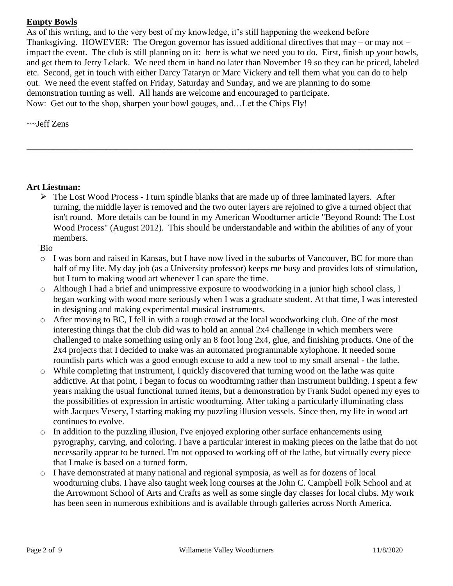# **Empty Bowls**

As of this writing, and to the very best of my knowledge, it's still happening the weekend before Thanksgiving. HOWEVER: The Oregon governor has issued additional directives that may – or may not – impact the event. The club is still planning on it: here is what we need you to do. First, finish up your bowls, and get them to Jerry Lelack. We need them in hand no later than November 19 so they can be priced, labeled etc. Second, get in touch with either Darcy Tataryn or Marc Vickery and tell them what you can do to help out. We need the event staffed on Friday, Saturday and Sunday, and we are planning to do some demonstration turning as well. All hands are welcome and encouraged to participate. Now: Get out to the shop, sharpen your bowl gouges, and…Let the Chips Fly!

**\_\_\_\_\_\_\_\_\_\_\_\_\_\_\_\_\_\_\_\_\_\_\_\_\_\_\_\_\_\_\_\_\_\_\_\_\_\_\_\_\_\_\_\_\_\_\_\_\_\_\_\_\_\_\_\_\_\_\_\_\_\_\_\_\_\_\_\_\_\_\_\_\_\_\_\_\_\_\_\_\_\_\_\_\_\_\_**

#### ~~Jeff Zens

#### **Art Liestman:**

 $\triangleright$  The Lost Wood Process - I turn spindle blanks that are made up of three laminated layers. After turning, the middle layer is removed and the two outer layers are rejoined to give a turned object that isn't round. More details can be found in my American Woodturner article "Beyond Round: The Lost Wood Process" (August 2012). This should be understandable and within the abilities of any of your members.

Bio

- o I was born and raised in Kansas, but I have now lived in the suburbs of Vancouver, BC for more than half of my life. My day job (as a University professor) keeps me busy and provides lots of stimulation, but I turn to making wood art whenever I can spare the time.
- o Although I had a brief and unimpressive exposure to woodworking in a junior high school class, I began working with wood more seriously when I was a graduate student. At that time, I was interested in designing and making experimental musical instruments.
- $\circ$  After moving to BC, I fell in with a rough crowd at the local woodworking club. One of the most interesting things that the club did was to hold an annual 2x4 challenge in which members were challenged to make something using only an 8 foot long 2x4, glue, and finishing products. One of the 2x4 projects that I decided to make was an automated programmable xylophone. It needed some roundish parts which was a good enough excuse to add a new tool to my small arsenal - the lathe.
- $\circ$  While completing that instrument, I quickly discovered that turning wood on the lathe was quite addictive. At that point, I began to focus on woodturning rather than instrument building. I spent a few years making the usual functional turned items, but a demonstration by Frank Sudol opened my eyes to the possibilities of expression in artistic woodturning. After taking a particularly illuminating class with Jacques Vesery, I starting making my puzzling illusion vessels. Since then, my life in wood art continues to evolve.
- $\circ$  In addition to the puzzling illusion, I've enjoyed exploring other surface enhancements using pyrography, carving, and coloring. I have a particular interest in making pieces on the lathe that do not necessarily appear to be turned. I'm not opposed to working off of the lathe, but virtually every piece that I make is based on a turned form.
- o I have demonstrated at many national and regional symposia, as well as for dozens of local woodturning clubs. I have also taught week long courses at the John C. Campbell Folk School and at the Arrowmont School of Arts and Crafts as well as some single day classes for local clubs. My work has been seen in numerous exhibitions and is available through galleries across North America.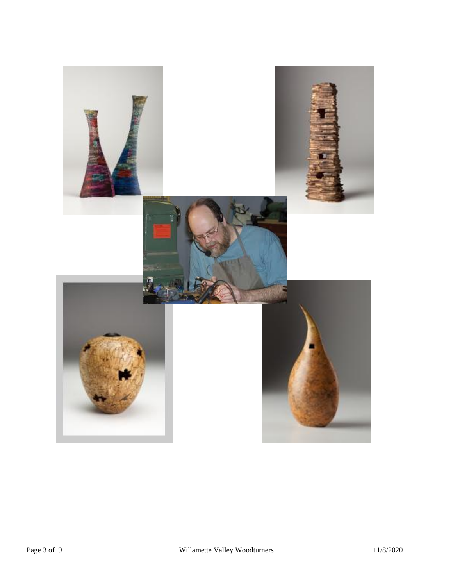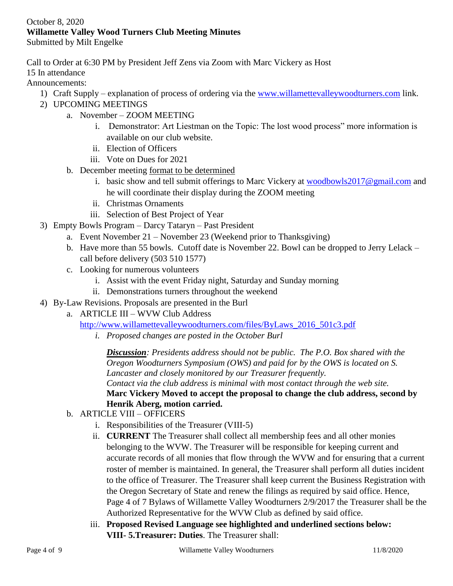#### October 8, 2020 **Willamette Valley Wood Turners Club Meeting Minutes** Submitted by Milt Engelke

Call to Order at 6:30 PM by President Jeff Zens via Zoom with Marc Vickery as Host

15 In attendance

Announcements:

- 1) Craft Supply explanation of process of ordering via the [www.willamettevalleywoodturners.com](http://www.willamettevalleywoodturners.com/) link.
- 2) UPCOMING MEETINGS
	- a. November ZOOM MEETING
		- i. Demonstrator: Art Liestman on the Topic: The lost wood process" more information is available on our club website.
		- ii. Election of Officers
		- iii. Vote on Dues for 2021
	- b. December meeting format to be determined
		- i. basic show and tell submit offerings to Marc Vickery at [woodbowls2017@gmail.com](mailto:woodbowls2017@gmail.com) and he will coordinate their display during the ZOOM meeting
		- ii. Christmas Ornaments
		- iii. Selection of Best Project of Year
- 3) Empty Bowls Program Darcy Tataryn Past President
	- a. Event November 21 November 23 (Weekend prior to Thanksgiving)
	- b. Have more than 55 bowls. Cutoff date is November 22. Bowl can be dropped to Jerry Lelack call before delivery (503 510 1577)
	- c. Looking for numerous volunteers
		- i. Assist with the event Friday night, Saturday and Sunday morning
		- ii. Demonstrations turners throughout the weekend
- 4) By-Law Revisions. Proposals are presented in the Burl
- a. ARTICLE III WVW Club Address

[http://www.willamettevalleywoodturners.com/files/ByLaws\\_2016\\_501c3.pdf](http://www.willamettevalleywoodturners.com/files/ByLaws_2016_501c3.pdf)

*i. Proposed changes are posted in the October Burl* 

*Discussion: Presidents address should not be public. The P.O. Box shared with the Oregon Woodturners Symposium (OWS) and paid for by the OWS is located on S. Lancaster and closely monitored by our Treasurer frequently. Contact via the club address is minimal with most contact through the web site.* **Marc Vickery Moved to accept the proposal to change the club address, second by Henrik Aberg, motion carried.**

- b. ARTICLE VIII OFFICERS
	- i. Responsibilities of the Treasurer (VIII-5)
	- ii. **CURRENT** The Treasurer shall collect all membership fees and all other monies belonging to the WVW. The Treasurer will be responsible for keeping current and accurate records of all monies that flow through the WVW and for ensuring that a current roster of member is maintained. In general, the Treasurer shall perform all duties incident to the office of Treasurer. The Treasurer shall keep current the Business Registration with the Oregon Secretary of State and renew the filings as required by said office. Hence, Page 4 of 7 Bylaws of Willamette Valley Woodturners 2/9/2017 the Treasurer shall be the Authorized Representative for the WVW Club as defined by said office.
	- iii. **Proposed Revised Language see highlighted and underlined sections below: VIII- 5.Treasurer: Duties**. The Treasurer shall: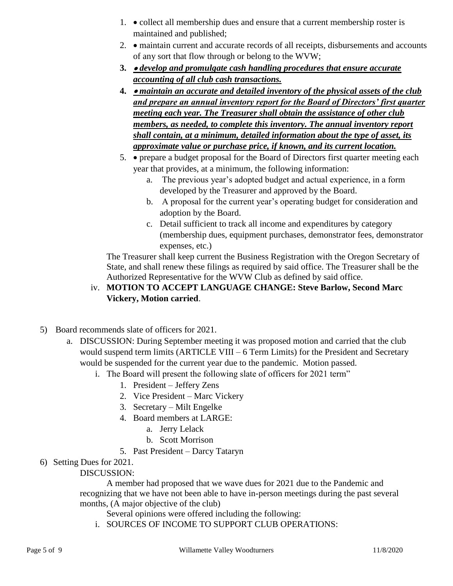- 1.  $\bullet$  collect all membership dues and ensure that a current membership roster is maintained and published;
- 2. maintain current and accurate records of all receipts, disbursements and accounts of any sort that flow through or belong to the WVW;
- **3.** *develop and promulgate cash handling procedures that ensure accurate accounting of all club cash transactions.*
- **4.** *maintain an accurate and detailed inventory of the physical assets of the club and prepare an annual inventory report for the Board of Directors' first quarter meeting each year. The Treasurer shall obtain the assistance of other club members, as needed, to complete this inventory. The annual inventory report shall contain, at a minimum, detailed information about the type of asset, its approximate value or purchase price, if known, and its current location.*
- 5.  $\bullet$  prepare a budget proposal for the Board of Directors first quarter meeting each year that provides, at a minimum, the following information:
	- a. The previous year's adopted budget and actual experience, in a form developed by the Treasurer and approved by the Board.
	- b. A proposal for the current year's operating budget for consideration and adoption by the Board.
	- c. Detail sufficient to track all income and expenditures by category (membership dues, equipment purchases, demonstrator fees, demonstrator expenses, etc.)

The Treasurer shall keep current the Business Registration with the Oregon Secretary of State, and shall renew these filings as required by said office. The Treasurer shall be the Authorized Representative for the WVW Club as defined by said office.

# iv. **MOTION TO ACCEPT LANGUAGE CHANGE: Steve Barlow, Second Marc Vickery, Motion carried**.

- 5) Board recommends slate of officers for 2021.
	- a. DISCUSSION: During September meeting it was proposed motion and carried that the club would suspend term limits (ARTICLE VIII – 6 Term Limits) for the President and Secretary would be suspended for the current year due to the pandemic. Motion passed.
		- i. The Board will present the following slate of officers for 2021 term"
			- 1. President Jeffery Zens
			- 2. Vice President Marc Vickery
			- 3. Secretary Milt Engelke
			- 4. Board members at LARGE:
				- a. Jerry Lelack
				- b. Scott Morrison
			- 5. Past President Darcy Tataryn
- 6) Setting Dues for 2021.

# DISCUSSION:

A member had proposed that we wave dues for 2021 due to the Pandemic and recognizing that we have not been able to have in-person meetings during the past several months, (A major objective of the club)

Several opinions were offered including the following:

i. SOURCES OF INCOME TO SUPPORT CLUB OPERATIONS: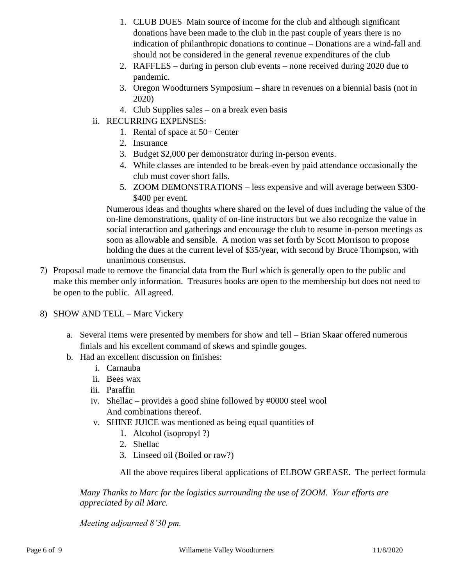- 1. CLUB DUES Main source of income for the club and although significant donations have been made to the club in the past couple of years there is no indication of philanthropic donations to continue – Donations are a wind-fall and should not be considered in the general revenue expenditures of the club
- 2. RAFFLES during in person club events none received during 2020 due to pandemic.
- 3. Oregon Woodturners Symposium share in revenues on a biennial basis (not in 2020)
- 4. Club Supplies sales on a break even basis
- ii. RECURRING EXPENSES:
	- 1. Rental of space at 50+ Center
	- 2. Insurance
	- 3. Budget \$2,000 per demonstrator during in-person events.
	- 4. While classes are intended to be break-even by paid attendance occasionally the club must cover short falls.
	- 5. ZOOM DEMONSTRATIONS less expensive and will average between \$300- \$400 per event.

Numerous ideas and thoughts where shared on the level of dues including the value of the on-line demonstrations, quality of on-line instructors but we also recognize the value in social interaction and gatherings and encourage the club to resume in-person meetings as soon as allowable and sensible. A motion was set forth by Scott Morrison to propose holding the dues at the current level of \$35/year, with second by Bruce Thompson, with unanimous consensus.

- 7) Proposal made to remove the financial data from the Burl which is generally open to the public and make this member only information. Treasures books are open to the membership but does not need to be open to the public. All agreed.
- 8) SHOW AND TELL Marc Vickery
	- a. Several items were presented by members for show and tell Brian Skaar offered numerous finials and his excellent command of skews and spindle gouges.
	- b. Had an excellent discussion on finishes:
		- i. Carnauba
		- ii. Bees wax
		- iii. Paraffin
		- iv. Shellac provides a good shine followed by #0000 steel wool And combinations thereof.
		- v. SHINE JUICE was mentioned as being equal quantities of
			- 1. Alcohol (isopropyl ?)
			- 2. Shellac
			- 3. Linseed oil (Boiled or raw?)

All the above requires liberal applications of ELBOW GREASE. The perfect formula

*Many Thanks to Marc for the logistics surrounding the use of ZOOM. Your efforts are appreciated by all Marc.* 

*Meeting adjourned 8'30 pm.*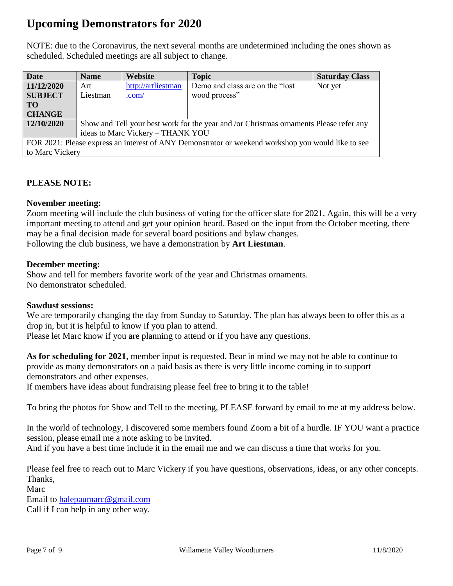# **Upcoming Demonstrators for 2020**

NOTE: due to the Coronavirus, the next several months are undetermined including the ones shown as scheduled. Scheduled meetings are all subject to change.

| Date                                                                                               | <b>Name</b>                                                                            | Website            | <b>Topic</b>                     | <b>Saturday Class</b> |
|----------------------------------------------------------------------------------------------------|----------------------------------------------------------------------------------------|--------------------|----------------------------------|-----------------------|
| 11/12/2020                                                                                         | Art                                                                                    | http://artliestman | Demo and class are on the "lost" | Not yet               |
| <b>SUBJECT</b>                                                                                     | Liestman                                                                               | .com/              | wood process"                    |                       |
| TO <sub>1</sub>                                                                                    |                                                                                        |                    |                                  |                       |
| <b>CHANGE</b>                                                                                      |                                                                                        |                    |                                  |                       |
| 12/10/2020                                                                                         | Show and Tell your best work for the year and /or Christmas ornaments Please refer any |                    |                                  |                       |
|                                                                                                    | ideas to Marc Vickery - THANK YOU                                                      |                    |                                  |                       |
| FOR 2021: Please express an interest of ANY Demonstrator or weekend workshop you would like to see |                                                                                        |                    |                                  |                       |
| to Marc Vickery                                                                                    |                                                                                        |                    |                                  |                       |

# **PLEASE NOTE:**

#### **November meeting:**

Zoom meeting will include the club business of voting for the officer slate for 2021. Again, this will be a very important meeting to attend and get your opinion heard. Based on the input from the October meeting, there may be a final decision made for several board positions and bylaw changes.

Following the club business, we have a demonstration by **Art Liestman**.

#### **December meeting:**

Show and tell for members favorite work of the year and Christmas ornaments. No demonstrator scheduled.

#### **Sawdust sessions:**

We are temporarily changing the day from Sunday to Saturday. The plan has always been to offer this as a drop in, but it is helpful to know if you plan to attend.

Please let Marc know if you are planning to attend or if you have any questions.

**As for scheduling for 2021**, member input is requested. Bear in mind we may not be able to continue to provide as many demonstrators on a paid basis as there is very little income coming in to support demonstrators and other expenses.

If members have ideas about fundraising please feel free to bring it to the table!

To bring the photos for Show and Tell to the meeting, PLEASE forward by email to me at my address below.

In the world of technology, I discovered some members found Zoom a bit of a hurdle. IF YOU want a practice session, please email me a note asking to be invited.

And if you have a best time include it in the email me and we can discuss a time that works for you.

Please feel free to reach out to Marc Vickery if you have questions, observations, ideas, or any other concepts. Thanks,

Marc Email to [halepaumarc@gmail.com](mailto:halepaumarc@gmail.com) Call if I can help in any other way.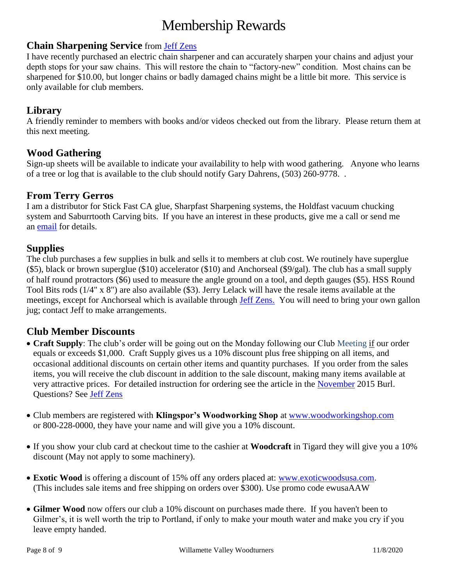# Membership Rewards

# **Chain Sharpening Service** from [Jeff Zens](mailto:PrezWVW@gmail.com)

I have recently purchased an electric chain sharpener and can accurately sharpen your chains and adjust your depth stops for your saw chains. This will restore the chain to "factory-new" condition. Most chains can be sharpened for \$10.00, but longer chains or badly damaged chains might be a little bit more. This service is only available for club members.

# **Library**

A friendly reminder to members with books and/or videos checked out from the library. Please return them at this next meeting.

# **Wood Gathering**

Sign-up sheets will be available to indicate your availability to help with wood gathering. Anyone who learns of a tree or log that is available to the club should notify Gary Dahrens, (503) 260-9778. .

# **From Terry Gerros**

I am a distributor for Stick Fast CA glue, Sharpfast Sharpening systems, the Holdfast vacuum chucking system and Saburrtooth Carving bits. If you have an interest in these products, give me a call or send me an [email](mailto:gerrost@yahoo.com) for details.

# **Supplies**

The club purchases a few supplies in bulk and sells it to members at club cost. We routinely have superglue (\$5), black or brown superglue (\$10) accelerator (\$10) and Anchorseal (\$9/gal). The club has a small supply of half round protractors (\$6) used to measure the angle ground on a tool, and depth gauges (\$5). HSS Round Tool Bits rods (1/4" x 8") are also available (\$3). Jerry Lelack will have the resale items available at the meetings, except for Anchorseal which is available through [Jeff Zens.](mailto:PrezWVW@gmail.com) You will need to bring your own gallon jug; contact Jeff to make arrangements.

# **Club Member Discounts**

- **Craft Supply**: The club's order will be going out on the Monday following our Club Meeting if our order equals or exceeds \$1,000. Craft Supply gives us a 10% discount plus free shipping on all items, and occasional additional discounts on certain other items and quantity purchases. If you order from the sales items, you will receive the club discount in addition to the sale discount, making many items available at very attractive prices. For detailed instruction for ordering see the article in the [November](http://www.willamettevalleywoodturners.com/newsletters/2015_11_WVW_Newsletter.pdf) 2015 Burl. Questions? See [Jeff Zens](mailto:PrezWVW@gmail.com)
- Club members are registered with **Klingspor's Woodworking Shop** at [www.woodworkingshop.com](http://www.woodworkingshop.com/)  or 800-228-0000, they have your name and will give you a 10% discount.
- If you show your club card at checkout time to the cashier at **Woodcraft** in Tigard they will give you a 10% discount (May not apply to some machinery).
- **Exotic Wood** is offering a discount of 15% off any orders placed at: [www.exoticwoodsusa.com.](http://www.exoticwoodsusa.com/) (This includes sale items and free shipping on orders over \$300). Use promo code ewusaAAW
- **Gilmer Wood** now offers our club a 10% discount on purchases made there. If you haven't been to Gilmer's, it is well worth the trip to Portland, if only to make your mouth water and make you cry if you leave empty handed.